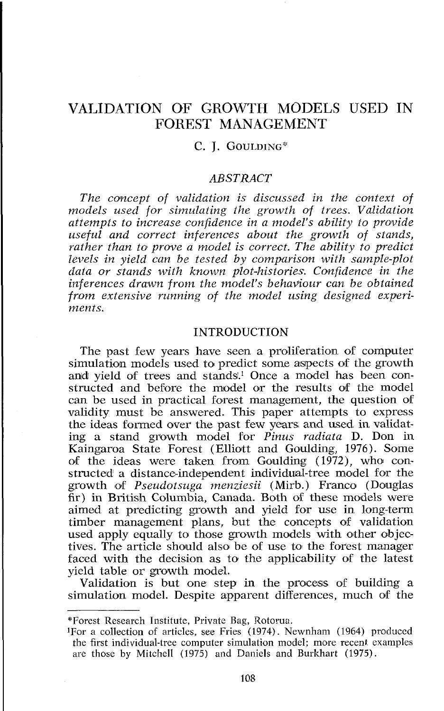# VALIDATION OF GROWTH MODELS USED IN FOREST MANAGEMENT

# C. I. GOULDING\*

# *ABSTRACT*

*The concept of validation is discussed in the cowtext of models used for simulating the growth of trees. Validation attempts to increase confidence in a model's ability to provide useful and correct inferences about the growth of stands,*  rather than to prove a model is correct. The ability to predict *levels in yield can be tested by comparison with sample-plot data or stands with known plot-histories. Confidence in the inferences drawn from the model's behaviour can be obtained from extensive running of the model using designed experiments.* 

# INTRODUCTION

The past few years have seen a proliferation of computer simulation models used to predict some aspects of the growth and yield of trees and stands.<sup>1</sup> Once a model has been constructed and before the model or the results of the model can be used in practical forest management, the question of validity must be answered. This paper attempts to express the ideas formed over the past few years and used in validating a stand growth model for *Pinus radiata* D. Don in Kaingaroa State Forest (Elliott and Goulding, 1976). Some of the ideas were taken from Goulding  $(1972)$ , who constructed a distance-independent individual-tree model for the growth of *Pseudotsuga menziesii* (Mirb.) Franco (Douglas fir) in British Columbia, Canada. Both of these models were aimed at predicting growth and yield for use in long-term timber management plans, but the concepts of validation used apply equally to those growth models with other objectives. The article should also be of use to the forest manager faced with the decision as to the applicability of the latest vield table or growth model.

Validation is but one step in the process of building a simulation model. Despite apparent differences, much of the

<sup>\*</sup>Forest Research Institute, Private Bag, Rotorua.

<sup>&#</sup>x27;For a collection of articles, see Fries (1974). Newnham (1964) produced the first individual-tree computer simulation model; more recent examples are those by Mitchell (1975) and Daniels and Burkhart (1975).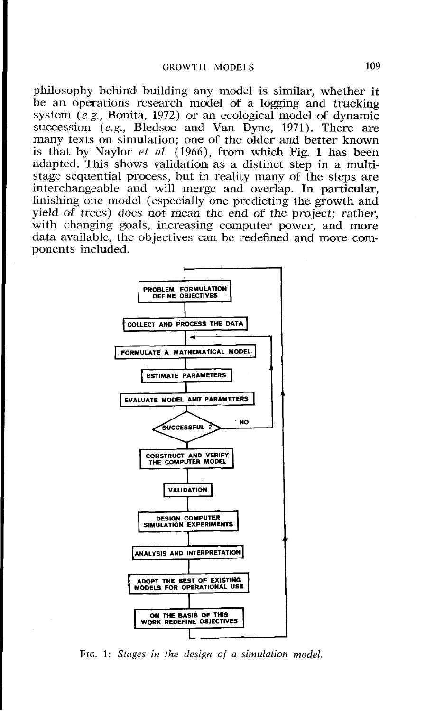philosophy behind building any model is similar, whether it be an operations research model of a logging and trucking system *(e.g., Bonita, 1972)* or an ecological model of dynamic succession *(e.g., Bledsoe and Van Dyne, 1971)*. There are many texts on simulation; one of the older and better known is that by Naylor *et al.* (1966), from which Fig. 1 has been adapted. This shows validation as a distinct step in a multistage sequential process, but in reality many of the steps are interchangeable and will merge and overlap. In particular, finishing one model (especially one predicting the growth and yield of trees) does not mean the end of the project; rather, with changing goals, increasing computer power, and more data available, the objectives can be redefined and more components included.



*FIG.* 1: *Stages in the design of a simulation model,*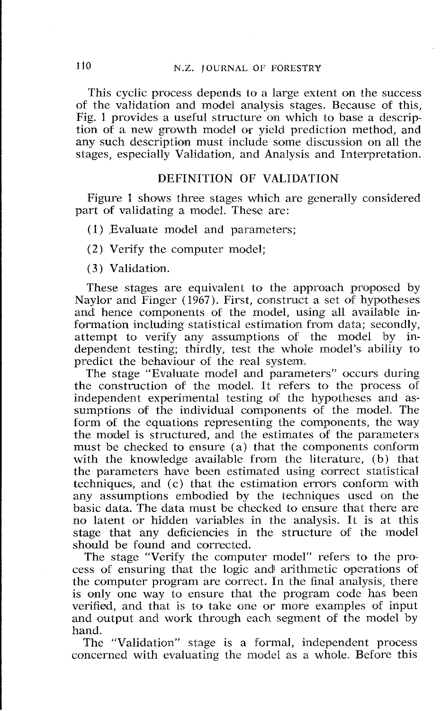This cyclic process depends to a large extent on the success *of the validation and model analysis stages. Because 09 this,*  Fig. 1 provides a useful structure on which to base a description of a new growth model or yield prediction method, and any such description must include some discussion on all the *stages, especially Validation, and Analysis and Interpretation.* 

# *DEFINITION OF VALIDATION*

*Figure 1 shows three stages which are generally considered part of validating a model. These are:* 

- *(1* ) *,Evaluate model and parameters;*
- **(2)** *Verify the computer model;*

*(3) Validation.* 

*These stages are equivalent to the approach proposed by Naylor and Finger (1967). First, construct a set of hypotheses and hence components of the model, using all available information including statistical estimation from data; secondly, attempt to verify any assumptions of the moldel by independent testing; thirdly, test the whole model's ability to predict the behaviour of the real system.* 

*The stage "Evaluate moldel and parameters" occurs during the construction of the model. It refers to the process of independent experimental testing of the hypotheses and as*sumptions of the individual components of the model. The *form of the equations representing the components, the way*  the model is structured, and the estimates of the parameters must be checked to ensure (a) that the components conform with the knowledge available from the literature, (b) that the parameters have been estimated using correct statistical techniques, and (c) that the estimation errors conform with any assumptions embodied by the techniques used on the *basic data. The data must be checked to ensure that there are no latent or hidden variables in the analysis. It is at this*  stage that any deficiencies in the structure of the model *should be found and corrected.* 

The stage "Verify the computer model" refers to the pro*cess of ensuring that the logic andl arithmetic operations olf the computer program are coirrect. In the final analysis, there is only one way to ensure that the program code has been verified, and that is to take one or more examples of input and output and work through each segment of the model by hand.* 

*The "Validation" stage is a formal, independent process concerned with evaluating the model as a whole. Before this*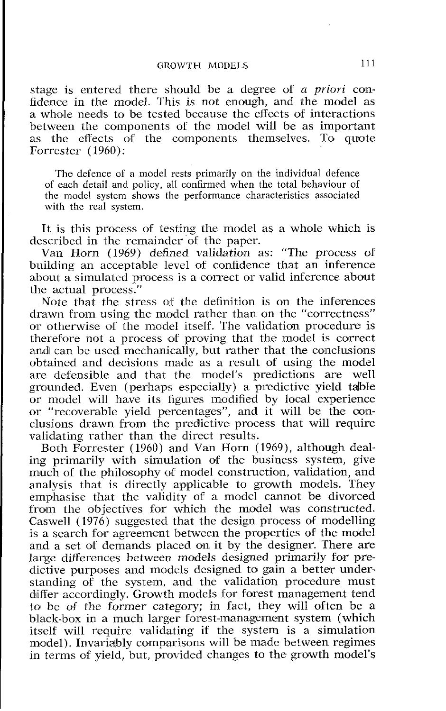stage is entered there should be a degree of *a priori* confidence in the model. This is not enough, and the model as a whole needs to be tested because the effects of interactions between the components of the model will be as important as the effects of the components themselves. To quote Forrester ( 1960):

The defence of a model rests primarily on the individual defence of each detail and policy, all confirmed when the total behaviour of the model system shows the performance characteristics associated with the real system.

It is this process of testing the model as a whole which is describcd in the remainder of the paper.

Van Horn (1969) defined validation as: "The process of building an acceptable level of confidence that an inference about a simulated process is a correct or valid inference about the actual process."

Note that the stress of the definition is on the inferences drawn from using the model rather than on the "correctness" or otherwise of the model itself. The validation procedure is therefore not a process of proving that the model is correct and can be used mechanically, but rather that the conclusions obtained and decisions made as a result of using the model are defensible and that the model's predictions are well grounded. Evcn (perhaps especially) a predictive yield talble or model will have its figures modified by local experience or "recoverable yield percentages", and it will be the conclusions drawn from the predictive process that will require validating rather than the direct results.

Both Forrester (1960) and Van Horn (1969), although dealing primarily with simulation of the business system, give much of the philosophy of model construction, validation, and analysis that is directly applicable to growth models. They emphasise that the validity of a model cannot be divorced from the objectives for which the model was constructed. Caswell (1976) suggested that the design process of modelling is a search for agreement between the properties of the model and a set of demands placed on it by the designer. There are large differences between models designed primarily for predictive purposes and models designed to gain a better understanding of the system, and the validation procedure must differ accordingly. Growth models for forest management tend to be of the former category; in fact, they will often be a black-box in a much larger forest-management system (which itself will require validating if the system is a simulation model). Invariably comparisons will be made between regimes in terms of yield, but, provided changes to the growth model's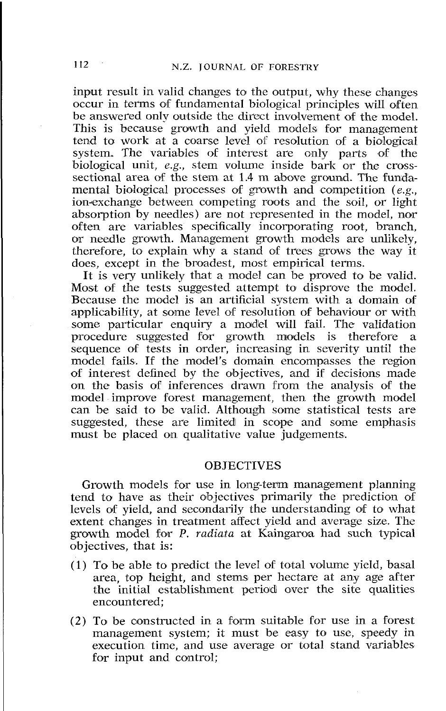input result in valid changes to the output, why these changes occur in terms of fundamental biological principles will often be answered only outside the direct involvement of the model. This is because growth and yield models for management tend to work at a coarse level of resolution of a biological system. The variables of interest are only parts of the system. The variables of interest are only parts of biological unit, *e.g.*, stem volume inside bark or the crosssectional area of the stem at 1.4 m above ground. The fundamental biological processes of growth and competition (e.g., ion-exchange between competing roots and the soil, or light absorption by needles) are not represented in the model, nor often are variables specifically incorporating root, branch, or needle growth. Management growth models are unlikely, therefore, to explain why a stand of trees grows the way it does, except in the broadest, most empirical terms.

It is very unlikely that a model can be proved to be valid. Most of the tests suggested attempt to disprove the model. Because the model is an artificial system with a domain of applicability, at some level of resolution of behaviour or with some particular enquiry a model will fail. The validation procedure suggested for growth models is therefore sequence of tests in order, increasing in severity until the model fails. If the model's domain encompasses the region of interest defined by the objectives, and if decisions made on the basis of inferences drawn from the analysis of the model improve forest management, then the growth model can be said to be valid. Although some statistical tests are suggested, these are limited in scope and some emphasis must be placed on qualitative value judgements.

#### **OBJECTIVES**

Growth models for use in long-term management planning tend to have as their objectives primarily the prediction of levels of yield, and secondarily the understanding of to what extent changes in treatment affect yield and average size. The growth model for P. radiata at Kaingaroa had such typical objectives, that is:

- $(1)$  To be able to predict the level of total volume yield, basal area, top height, and stems per hectare at any age after the initial establishment periold over the site qualities encountered;
- (2) To be constructed in a form suitable for use in a forest management system; it must be easy to use, speedy in execution time, and use average or total stand variables for input and control;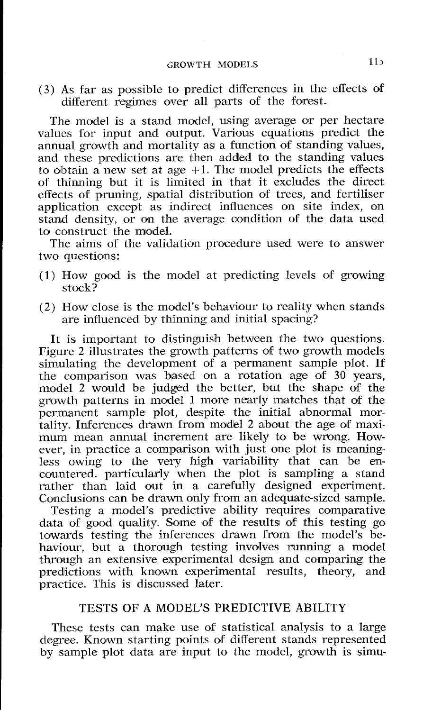(3) As far as possible to predict differences in the effects od different regimes over all parts of the forest.

The model is a stand model, using average or per hectare values for input and output. Various equations predict the annual growth and mortality as a function 06 standing values, and these predictions are then addled to the standing values to obtain a new set at age  $+1$ . The model predicts the effects of thinning but it is limited in that it excludes the direct effects of pruning, spatial distribution of trees, and fertiliser application except as indirect influences on site index, on stand density, or on the average condition of the data used to construct the model.

The aims of the validation procedure used were to answer two questions:

- $(1)$  How good is the model at predicting levels of growing stock?
- (2) How close is the model's behaviour to reality when stands are influenced by thinning and initial spacing?

It is important to distinguish between the two questions. Figure 2 illustrates the growth patterns of two growth models simulating the development of a permanent sample plot. If the comparison was based on a rotation age of 30 years, model 2 would be judged the better, but the shape of the growth patterns in model 1 more nearly matches that of the permanent sample plot, despite the initial abnormal martality. Inferences drawn from model 2 about the age of maximum mean annual increment are likely to be wrong. However, in practice a comparison with just one plot is meaningless owing to the very high variability that can be encountered. particularly when the plot is sampling a stand rather than laid out in a carefully designed experiment. Conclusions can be drawn only from an adequate-sized sample.

Testing a moldel's predictive ability requires comparative data of good quality. Some of the results of this testing go towards testing the inferences drawn from the model's behaviour, but a thorough testing involves running a model through an extensive experimental design and comparing the predlictions with known experimental results, theory, and practice. This is discussed later.

# TESTS OF A MODEL'S PREDICTIVE ABILITY

These tests can make use of statistical analysis to a large degree. Known starting points of different stands represented by sample plot data are input to the model, growth is simu-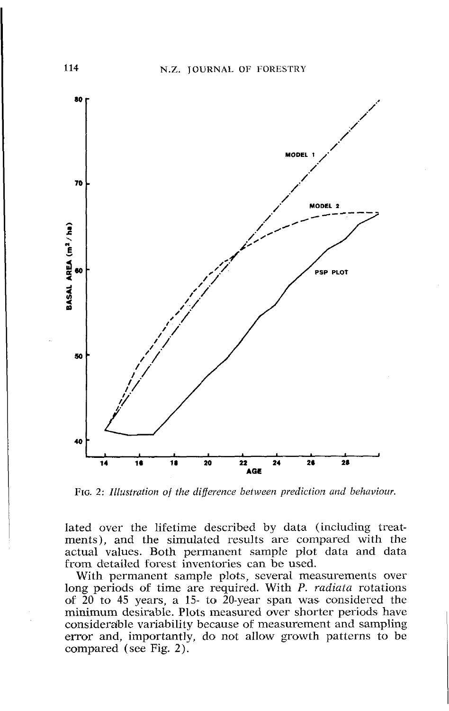

FIG. 2: Illustration of the difference between prediction and behaviour.

lated over the lifetime described by data (including treatments), and the simulated results are compared with the actual values. Both permanent sample plot data and data from detailed forest inventories can be used.

With permanent sample plots, several measurements over long periods of time are required. With P. radiata rotations of  $20$  to 45 years, a 15- to 20-year span was considered the minimum desirable. Plots measured over shorter periods have considerable variability because of measurement and sampling error and, importantly, do not allow growth patterns to be compared (see Fig. 2).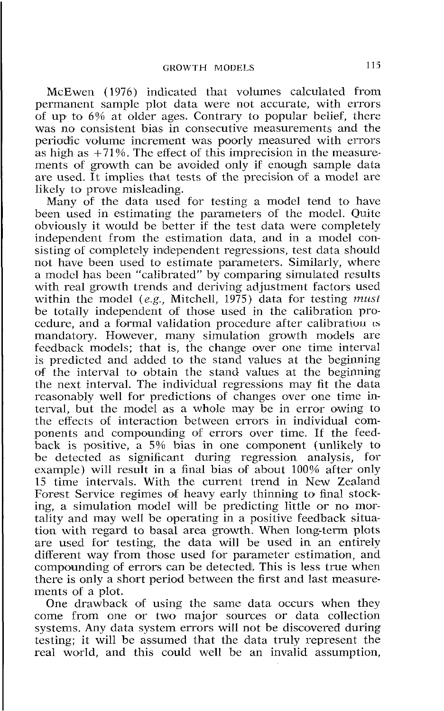McEwen (1976) indicated that volumes calculated from permanent sample plot data were not accurate, with errors of up to 6% at older ages. Contrary to popular belief, there was no consistent bias in consecutive measurements and the periodic volume increment was poorly measured with errors as high as  $+71\%$ . The effect of this imprecision in the measurements of growth can be avoided only if enough sample data are used. It implies that tests of the precision of a model are likely to prove misleading.

Many of the data used for testing a model tend to have been used in estimating the parameters of the model. Quite obviously it would be better if the test data were completely independent from the estimation data, and in a model consisting of completely independent regressions, test data should not have been used to estimate parameters. Similarly, where a modcl has been "calibrated" by comparing simulated results with real growth trends and deriving adjustment factors used within the model *(e.g.,* Mitchell, 1975) data for testing must be totally independent of those used in the calibration procedure, and a formal validation procedure after calibration is mandatory. However, many simulation growth models are feedback models; that is, the change over one time interval is predicted and added to the stand values at the beginning of the interval to obtain the stand values at the beginning the next interval. The individual regressions may fit the data reasonably well for predictions of changes over one time interval, but the model as a whole may be in error owing to the effects of interaction between errors in individual components and compoundling of errors over time. If the feedback is positive, a 5% bias in one component (unlikely to be detected as significant during regression analysis, for example) will result in a final bias of about 100% after only 15 time intervals. With the current trend in New Zealand Forest Service regimes of heavy early thinning to final stocking, a simulation model will be predicting little or no mortality and may well be operating in a positive feedback situation with regard to basal area growth. When long-term plots are used for testing, the data will be used in an entirely different way from those used for parameter estimation, and compounding of errors can be detected. This is less true when there is only a short period between the first and last measurements of a plot.

One drawback of using the same data occurs when they come from one or two major sources or data collection systems. Any data system errors will not be discovered during testing; it will be assumed that the data truly represent the real world, and this could well be an invalid assumption,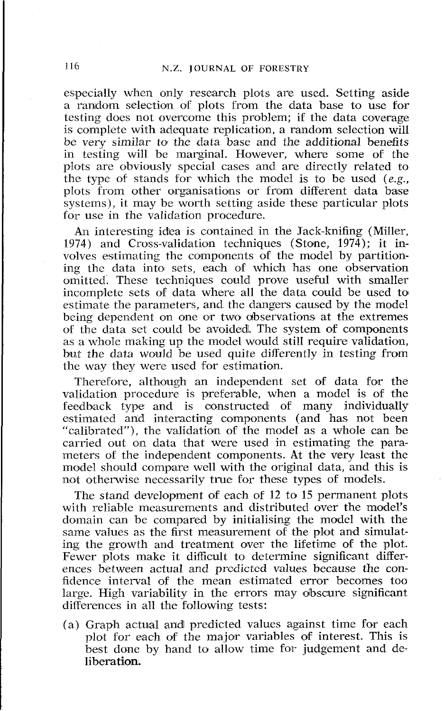especially when only research plots are used. Setting aside a random selection of plots from the data base to use for testing does not overcome this problem; if the data coverage is complete with adequate replication, a random selection will be very similar to the data base and the additional benefits in testing will be marginal. However, where some of the plots are obviously special cases and are directly related to the type of stands for which the model is to be used *(e.g.,*  plots from other organisations or from different data base systems), it may be worth setting aside these particular plots for use in the validation procedure.

An interesting idka is contained in the Jack-knifing (Miller, 1974) and Cross-validation techniques (Stone, 1974); it involves estimating the components of the model by partitioning thc data into) sets, each of which has one observation omitted. These techniques could prove useful with smaller incomplete sets of data where all the data could be used to estimate the parameters, and the dangers caused by the model being dependent on one or two observations at the extremes of the data set could be avoided. The system of components as a whole making up the model would still require validation, but the data would be used quite differently in testing from the way they were used for estimation.

Therefore, although an independent set of data for the validation procedure is preferable, when a model is of the feedback type and is constructed of many individually estimated and interacting components (and has not been "calibrated"), the validation of the mode1 as a whole can be carried out on data that were used in estimating the parameters of the independent components. At the very least the model should compare well with the original data, and this is not otherwise necessarily true for these types of models.

The stand development of each of 12 to 15 permanent plots with reliable measurements and distributed over the model's domain can be compared by initialising the model with the same values as the first measurement of the plot and simulating the growth and treatment over the lifetime of the plot. Fewer plots make it difficult to determine significant differences between actual and prcdictcd values because the confidence interval of the mean estimated error becomes too large. High variability in the errors may obscure significant differences in all the following tests:

(a) Graph actual anld' predicted values against time for each plot for each 06 the major variables of interest. This is best done by hand to allow time for judgement and deliberation.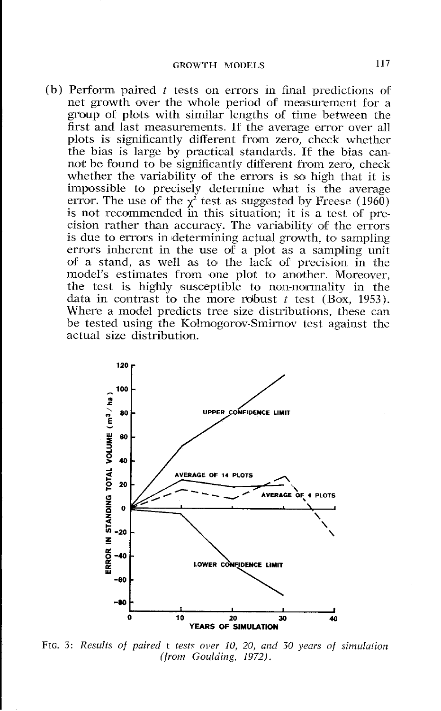(b) Perform paired *t* tests on errors in final predictions of net growth over the whole period of measurement for a group of plots with similar lengths of time between the first and last measurements. If the average error over all plots is significantly different from zero, check whether the bias is large by practical standards. If the bias cannot be found to be significantly different from zero, check whether the variability of the errors is so high that it is impossible to precisely determine what is the average error. The use of the  $\chi^2$  test as suggested by Freese (1960) is not recommended in this situation; it is a test of precision rather than accuracy. The variability of the errors is due to errors in determining actual growth, to sampling errors inherent in the use of a plot as a sampling unit of a stand, as well as to the lack of precision in the model's estimates from one plot to another. Moreover, the test is highly susceptible to non-normality in the data in contrast to the more robust  $t$  test (Box, 1953). Where a model predicts tree size distributions, these can be tested using the Kolmogorov-Smirnov test against the actual size distribution.



FIG. 3: Results of paired t tests over 10, 20, and 30 years of simulation (from Goulding, 1972).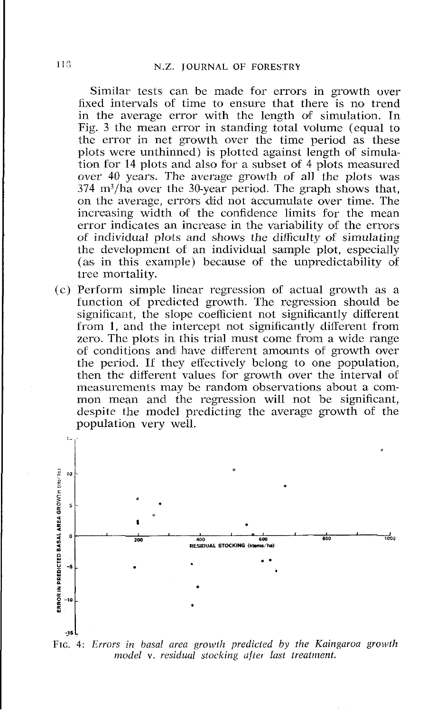Similar tests can be made for errors in growth over fixed intervals of time to ensure that there is no trend in the average error with the length of simulation. In Fig. 3 the mean error in standing total volume (equal to the error in net growth over the time period as these plots were unthinned) is plotted against length of simulation for 14 plots and also for a subset of 4 plots measured over 40 years. The average growth of all the plots was 374 m3/ha over the 30-year period. The graph shows that, on the average, errors did not accumulate over time. The increasing width of the confidence limits for the mean error indicates an increase in the variability of the errors of individual plots and shows the difficulty of simulating the development of an individual sample plot, especially (as in this example) because of the unpredictability of tree mortality.

(c) Perform simple linear regression of actual growth as a function of predicted growth. The regression should be significant, the slope coefficient not significantly different from 1, and the intercept not significantly different from zero. The plots in this trial must come from a wide range of conditions and have different amounts of growth over the period. IT they effectively bclong to one population, then the different values for growth over the interval of measurements may be random observations about a common mean and the regression will not be significant, despite the model predicting the average growth of the population very well.



*FIG. 4: Errors in basal area growth predicted by the Kaingaroa growth model* v. *residual stocking ufter last treatment.*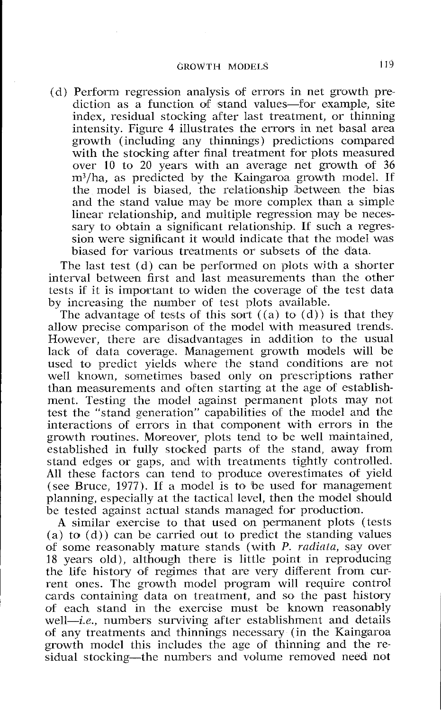$(d)$  Perform regression analysis of errors in net growth prediction as a function of stand values-for example, site index, residual stocking after last treatment, or thinning intensity. Figure 4 illustrates the errors in net basal area growth (including any thinnings) predictions compared with the stocking after final treatment for plots measured over 10 to 20 years with an average net growth of  $36$ m3/ha, as predicted by the Kaingaroa growth model. If the model is biased, the relationship between the bias and the stand value may be more complex than a simplc linear relationship, and multiple regression may be necessary to obtain a significant relationship. If such a regression were significant it would indicate that the model was biased for various treatments or subsets of the data.

The last test (d) can be performed on plots with a shorter interval between first and last measurements than the other tests if it is important to widen the coverage of the test data by increasing the number of test plots available.

The advantage of tests of this sort  $((a)$  to  $(d))$  is that they allow precise comparison of the model with measured trends. However, there are disadvantages in addition to the usual lack of data coverage. Management growth moldels will be used to predict yields where the stand conditions are not well known, sometimes based only on prescriptions rather than measurements and often starting at the age of establishment. Testing the model against permanent plots may not test the "stand generation" capabilities of the model and the interactions of errors in that component with errors in the growth routines. Moreover, plots tend to be well maintained, established in fully stocked parts of the stand, away from stand edges or gaps, and with treatments tightly controlled. All these factors can tend to produce overestimates of yield (see Bruce, 1977). If a model is to be used for management planning, especially at the tactical level, then the model should be tested against actual stands managed for production.

A similar exercise to that used on permanent plots (tests (a) to (d)) can be carried out to predict the standing values of some reasonably mature stands (with P. radiata, say over 18 years old), although there is little point in reproducing the life history of regimes that are very different from current ones. The growth model program will require control cards containing data on treatment, and so the past history of each stand in the exercise must be known reasonably well-*i.e.*, numbers surviving after establishment and details of any treatments and thinnings necessary (in the Kaingaroa growth model this includes the age of thinning and the residual stocking—the numbers and volume removed need not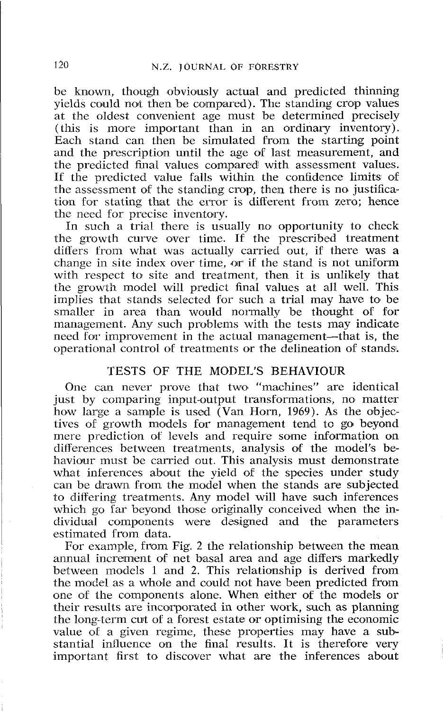be known, though obviously actual and predicted thinning yields could not then be compared). The standing crop values at the oldest convenient age must be determined precisely (this is more important than in an ordinary inventory). Each stand can then be simulated from the starting point and the prescription until the age of last measurement, and the predicted final values compared with assessment values. If the predicted value falls within the confidence limits of the assessment of the standing crop, then there is no justification for stating that the error is different from zero; hence the need for precise inventory.

In such a trial there is usually no opportunity to check the growth curve over time. If the prescribed treatment differs from what was actually carried out, if there was a change in site index over time, or if the stand is not uniform with respect to site and treatment, then it is unlikely that the growth model will predict final values at all well. This implies that stands selected for such a trial may have to be smaller in area than would normally be thought of for management. Any such problems with the tests may indicate need for improvement in the actual management-that is, the operational control of treatments or the delineation of stands.

# TESTS OF THE MODEL'S BEHAVIOUR

One can never prove that two "machines" are identical just by comparing input-output transformations, no matter how large a sample is used (Van Horn, 1969). As the objectives of growth models for management tend to go beyond mere prediction of levels and require some information on differences between treatments, analysis of the model's behaviour must be carried out. This analysis must demonstrate what inferences about the yield of the species under study can be drawn from the model when the stands are subjected to ditfering treatments. Any model will have such inferences which go far beyond those originally conceived when the individual components were designed and the parameters cstimated from data.

For example, from Fig. 2 the relationship between the mean annual increment of net basal area and age differs markedly between models 1 and 2. This relationship is derived from the model as a whole and could not have been predicted from one of the components alone. When either of the models or their results are incorporated in other work, such as planning the long-term cut of a forest estate or optimising the economic value of a given regime, these properties may have a substantial influence **oa** the final results. It is therefore very important first to discover what are the inferences about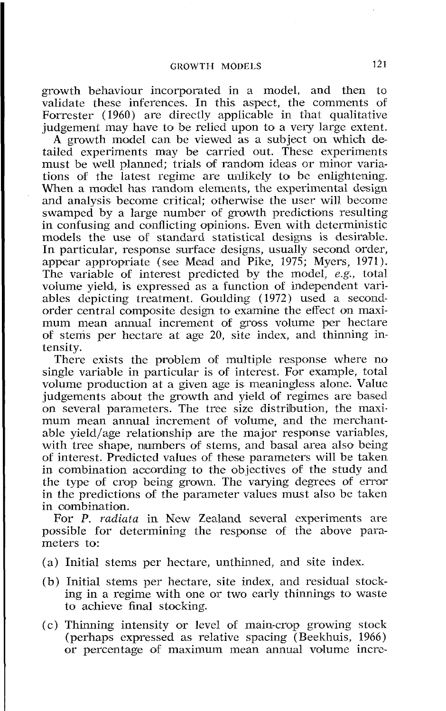growth behaviour incorporated in a model, and then to validate these inferences. In this aspect, the comments of Forrester (1960) are directly applicable in that qualitative judgement may have to be relied upon to a very large extent.

A growth model can be viewed as a subject on which detailed experiments may be carried out. These experiments must be well planned; trials of random ideas or minor variations of ihe latest 'egime are unlikely to be enlightening. When a model has random elements, the experimental design and analysis become critical; otherwise the user will become swamped by a large number of growth predictions resulting in confusing and conflicting opinions. Even with deterministic models the use of standard statistical designs is desirable. In particular, response surface designs, usually second order, appear appropriate (see Mead and Pike, 1975; Myers, 1971). The variable of interest predicted by the model, *e.g.,* total volume vield, is expressed as a function of independent variables depicting treatment. Goulding (1972) used a secondorder central composite design to examine the effect on maximum mean annual increment of gross volume per hectare of stems per hectare at age 20, site index, and thinning intensity.

There exists the problem of multiple response where no single variable in particular is of interest. For example, total volume production at a given age is meaningless alone. Value judgements about the growth and yield of regimes are based on several parameters. The tree size distribution, the maximum mean annual increment of volume, and the merchantable yield/age relationship are the major response variables, with tree shape, numbers of stems, and basal area also being of interest. Pradlicted values of these parameters will be taken in combination according to the objectives of the study and the type of crop being grown. The varying degrees of error in the predictions of the parameter values must also be taken in combination.

For P. radiata in New Zealand several experiments are possible for determining the response of the above parameters to:

- 1 (a) Initial stems per hectare, unthinned, and site index.
- (b) Initial stems per hectare, site index, and residual stocking in a regime with one or two early thinnings to waste to achieve final stocking.
- *(c)* Thinning intensity or level of main-crop growing stock (perhaps expressed as relative spacing (Beekhuis, 1966) or percentage of maximum mean annual volume incre-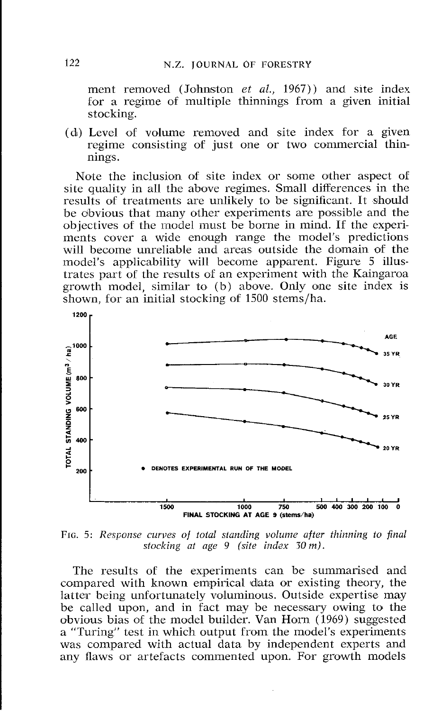*ment removed (Johnston et al., 1967)) and site index for a regime of multiple thinnings from a given initial stocking.* 

(d) *Level of volume removed and site index for a given regime consisting of just one or two commercial thin* $nings.$ 

Note the inclusion of site index or some other aspect of *site quality in all the above regimes. Small differences in the*  results of treatments are unlikely to be significant. It should be obvious that many other experiments are possible and the *objectives of the model must be borne in mind. If the experiments cover a wide enough range the model's predictions*  will become unreliable and areas outside the domain of the *model's applicability will become apparent. Figure* 5 *illustrates part of the results of an expcrirnent with the Kaingaroa growth model, similar to (b) above. Only one site index is shown, for an initial stocking of* 1500 *stems/ha.* 



*FIG.* 5: *Response curves of total standing volume after thinning to final stocking at age 9 (site index 30 m).* 

*The results of the experiments can be summarised and*  compared with known empirical data or existing theory, the *latter being unfortunately voluminous. Outside expertise may*  be called upon, and in fact may be necessary owing to the *obvious bias of the model builder. Van Horn (1969) suggested a "Turing" test in which output from the model's experiments was compared with actual data by independent experts and*  any flaws or artefacts commented upon. For growth models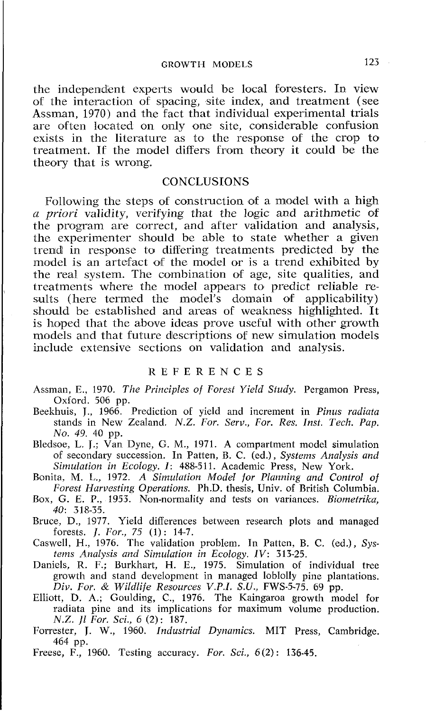# GROWTH MODELS 123

the independ\ent experts would be local foresters. In view of the interaction of spacing, site index, and treatment (see Assman, 1970) and the fact that individual experimental trials are often located on only one site, considerable confusion exists in the literature as to the response of the crop to treatment. If the model differs from theory it could be the theory that is wrong.

#### CONCLUSIONS

Following the steps of construction of a model with a high a *priori* validity, verifying that the logic and arithmetic of the program are correct, and after validation and analysis, the experimenter should be able to state whether a given trend in response to differing treatments predicted by the model is an artefact of the model or is a trend exhibited by the real system. The combination of age, site qualities, and treatments where the model appears to predict reliable results (here termed the model's domain of applicability) should be established and areas of weakness highlighted. It is hoped that the above ideas prove useful with other growth models and that future descriptions of new simulation models include extensive sections on validation and analysis.

### REFERENCES

- Assman, E., 1970. *The Principles of Forest Yield Study.* Pergamon Press, Oxford. 506 pp.
- Beekhuis, J., 1966. Prediction of yield and increment in *Pinus radiuta*  stands in New Zealand. *N.Z. For. Serv., For. Res. Inst. Tech. Pup. No. 49.* 40 pp.

Bledsoe, L. **J.;** Van Dyne, G. M., 1971. A compartment model simulation of secondary succession. In Patten, B. C. (ed.), *Systems Analysis and Simulation in Ecology. I:* 488-511. Academic Press, New York.

- Bonita, M. L., 1972. *A Simulation Model for Planning and Control of Forest Harvesting Operations.* Ph.D. thesis, Univ. of British Columbia.
- Box, G. E. P., 1953. Non-normality and tests on variances. *Biometrika,*  40: 318-35.
- Bruce, D., 1977. Yield differences between research plots and managed forests. *J. For.,* 75 (1) : 14-7.
- Caswell, H., 1976. The validation problem. In Patten, B. C. (ed.), *Systems Analysis and Simulation in Ecology. IV:* 313-25.
- Daniels, R. F.; Burkhart, H. E., 1975. Simulation of individual tree growth and stand development in managed loblolly pine plantations. *Div. For.* & *Wildlife Resources V.P.I. S.U.,* FWS-5-75. 69 pp.
- Elliott, D. A,; Goulding, C., 1976. The Kaingaroa growth model for radiata pine and its implications for maximum volume production. N.Z. *Jl For. Sci., 6 (2):* 187.
- Forrester, J. W., 1960. *Industrial Dynamics.* MIT Press, Cambridge. 464 pp.
- Freese, F., 1960. Testing accuracy. *For. Sci.,* 6(2): 136-45.